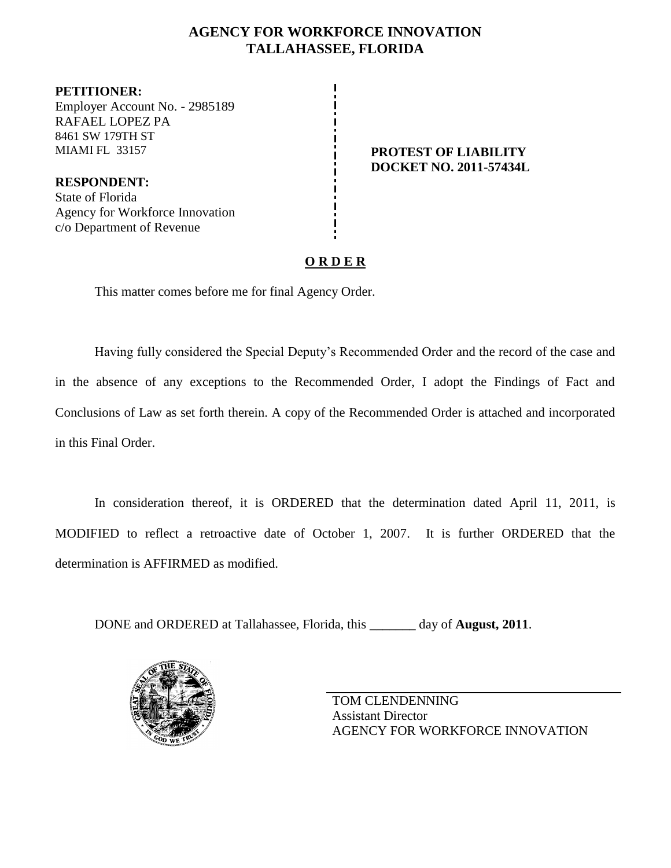## **AGENCY FOR WORKFORCE INNOVATION TALLAHASSEE, FLORIDA**

**PETITIONER:** Employer Account No. - 2985189 RAFAEL LOPEZ PA 8461 SW 179TH ST MIAMI FL 33157 **PROTEST OF LIABILITY**

**RESPONDENT:** State of Florida Agency for Workforce Innovation c/o Department of Revenue

# **DOCKET NO. 2011-57434L**

## **O R D E R**

This matter comes before me for final Agency Order.

Having fully considered the Special Deputy's Recommended Order and the record of the case and in the absence of any exceptions to the Recommended Order, I adopt the Findings of Fact and Conclusions of Law as set forth therein. A copy of the Recommended Order is attached and incorporated in this Final Order.

In consideration thereof, it is ORDERED that the determination dated April 11, 2011, is MODIFIED to reflect a retroactive date of October 1, 2007. It is further ORDERED that the determination is AFFIRMED as modified.

DONE and ORDERED at Tallahassee, Florida, this **\_\_\_\_\_\_\_** day of **August, 2011**.



TOM CLENDENNING Assistant Director AGENCY FOR WORKFORCE INNOVATION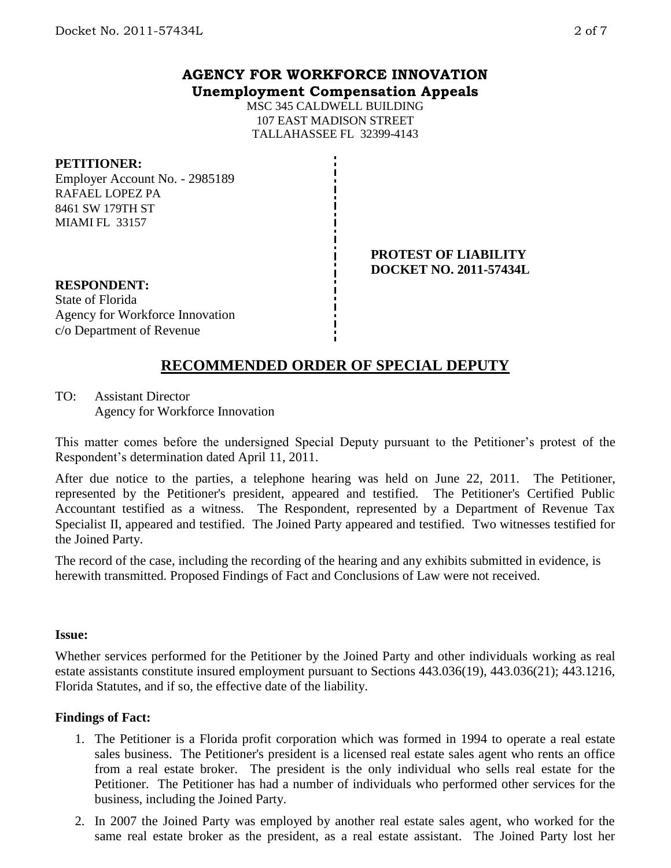## **AGENCY FOR WORKFORCE INNOVATION Unemployment Compensation Appeals**

MSC 345 CALDWELL BUILDING 107 EAST MADISON STREET TALLAHASSEE FL 32399-4143

### **PETITIONER:**

Employer Account No. - 2985189 RAFAEL LOPEZ PA 8461 SW 179TH ST MIAMI FL 33157

> **PROTEST OF LIABILITY DOCKET NO. 2011-57434L**

# **RESPONDENT:**

State of Florida Agency for Workforce Innovation c/o Department of Revenue

## **RECOMMENDED ORDER OF SPECIAL DEPUTY**

TO: Assistant Director Agency for Workforce Innovation

This matter comes before the undersigned Special Deputy pursuant to the Petitioner's protest of the Respondent's determination dated April 11, 2011.

After due notice to the parties, a telephone hearing was held on June 22, 2011. The Petitioner, represented by the Petitioner's president, appeared and testified. The Petitioner's Certified Public Accountant testified as a witness. The Respondent, represented by a Department of Revenue Tax Specialist II, appeared and testified. The Joined Party appeared and testified. Two witnesses testified for the Joined Party.

The record of the case, including the recording of the hearing and any exhibits submitted in evidence, is herewith transmitted. Proposed Findings of Fact and Conclusions of Law were not received.

#### **Issue:**

Whether services performed for the Petitioner by the Joined Party and other individuals working as real estate assistants constitute insured employment pursuant to Sections 443.036(19), 443.036(21); 443.1216, Florida Statutes, and if so, the effective date of the liability.

## **Findings of Fact:**

- 1. The Petitioner is a Florida profit corporation which was formed in 1994 to operate a real estate sales business. The Petitioner's president is a licensed real estate sales agent who rents an office from a real estate broker. The president is the only individual who sells real estate for the Petitioner. The Petitioner has had a number of individuals who performed other services for the business, including the Joined Party.
- 2. In 2007 the Joined Party was employed by another real estate sales agent, who worked for the same real estate broker as the president, as a real estate assistant. The Joined Party lost her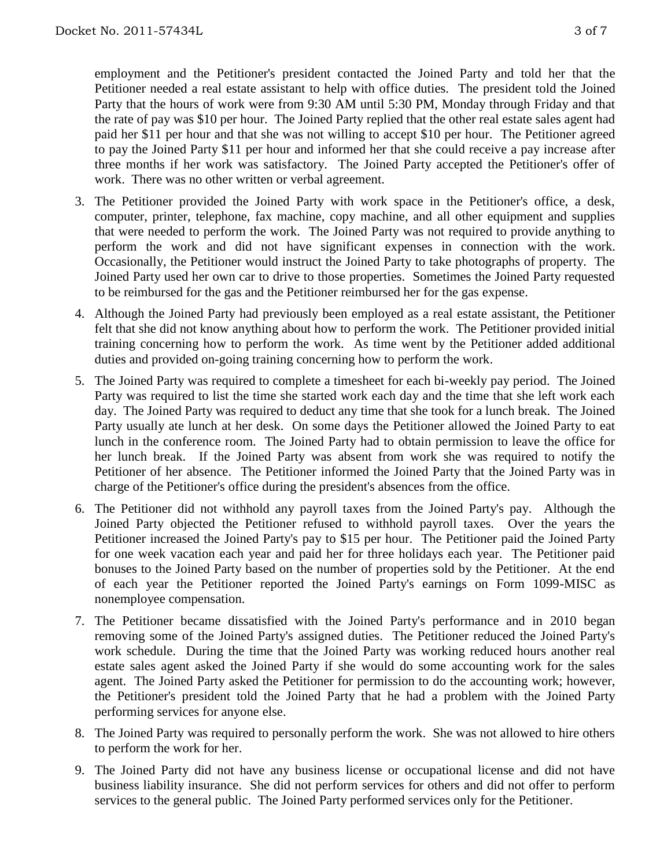employment and the Petitioner's president contacted the Joined Party and told her that the Petitioner needed a real estate assistant to help with office duties. The president told the Joined Party that the hours of work were from 9:30 AM until 5:30 PM, Monday through Friday and that the rate of pay was \$10 per hour. The Joined Party replied that the other real estate sales agent had paid her \$11 per hour and that she was not willing to accept \$10 per hour. The Petitioner agreed to pay the Joined Party \$11 per hour and informed her that she could receive a pay increase after three months if her work was satisfactory. The Joined Party accepted the Petitioner's offer of work. There was no other written or verbal agreement.

- 3. The Petitioner provided the Joined Party with work space in the Petitioner's office, a desk, computer, printer, telephone, fax machine, copy machine, and all other equipment and supplies that were needed to perform the work. The Joined Party was not required to provide anything to perform the work and did not have significant expenses in connection with the work. Occasionally, the Petitioner would instruct the Joined Party to take photographs of property. The Joined Party used her own car to drive to those properties. Sometimes the Joined Party requested to be reimbursed for the gas and the Petitioner reimbursed her for the gas expense.
- 4. Although the Joined Party had previously been employed as a real estate assistant, the Petitioner felt that she did not know anything about how to perform the work. The Petitioner provided initial training concerning how to perform the work. As time went by the Petitioner added additional duties and provided on-going training concerning how to perform the work.
- 5. The Joined Party was required to complete a timesheet for each bi-weekly pay period. The Joined Party was required to list the time she started work each day and the time that she left work each day. The Joined Party was required to deduct any time that she took for a lunch break. The Joined Party usually ate lunch at her desk. On some days the Petitioner allowed the Joined Party to eat lunch in the conference room. The Joined Party had to obtain permission to leave the office for her lunch break. If the Joined Party was absent from work she was required to notify the Petitioner of her absence. The Petitioner informed the Joined Party that the Joined Party was in charge of the Petitioner's office during the president's absences from the office.
- 6. The Petitioner did not withhold any payroll taxes from the Joined Party's pay. Although the Joined Party objected the Petitioner refused to withhold payroll taxes. Over the years the Petitioner increased the Joined Party's pay to \$15 per hour. The Petitioner paid the Joined Party for one week vacation each year and paid her for three holidays each year. The Petitioner paid bonuses to the Joined Party based on the number of properties sold by the Petitioner. At the end of each year the Petitioner reported the Joined Party's earnings on Form 1099-MISC as nonemployee compensation.
- 7. The Petitioner became dissatisfied with the Joined Party's performance and in 2010 began removing some of the Joined Party's assigned duties. The Petitioner reduced the Joined Party's work schedule. During the time that the Joined Party was working reduced hours another real estate sales agent asked the Joined Party if she would do some accounting work for the sales agent. The Joined Party asked the Petitioner for permission to do the accounting work; however, the Petitioner's president told the Joined Party that he had a problem with the Joined Party performing services for anyone else.
- 8. The Joined Party was required to personally perform the work. She was not allowed to hire others to perform the work for her.
- 9. The Joined Party did not have any business license or occupational license and did not have business liability insurance. She did not perform services for others and did not offer to perform services to the general public. The Joined Party performed services only for the Petitioner.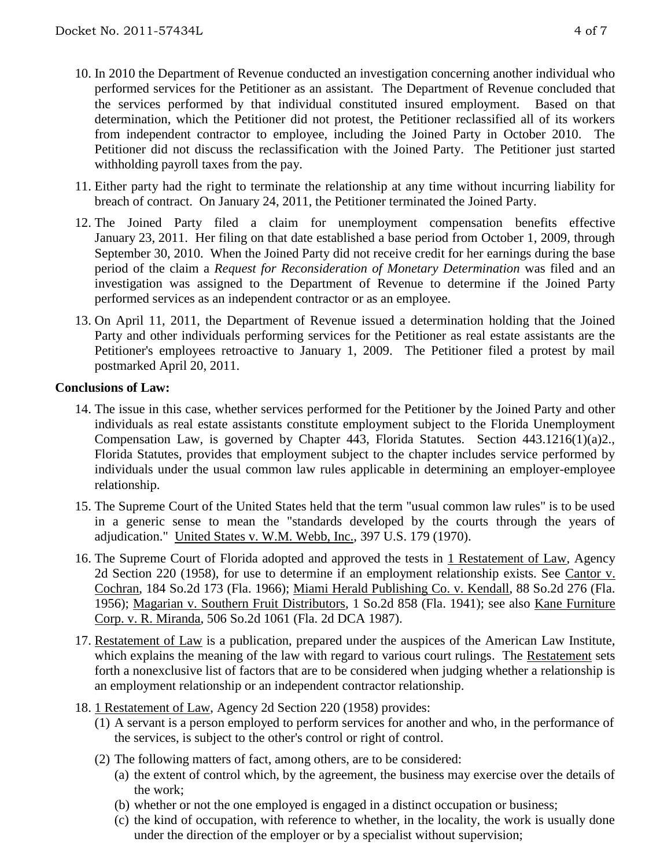- 10. In 2010 the Department of Revenue conducted an investigation concerning another individual who performed services for the Petitioner as an assistant. The Department of Revenue concluded that the services performed by that individual constituted insured employment. Based on that determination, which the Petitioner did not protest, the Petitioner reclassified all of its workers from independent contractor to employee, including the Joined Party in October 2010. The Petitioner did not discuss the reclassification with the Joined Party. The Petitioner just started withholding payroll taxes from the pay.
- 11. Either party had the right to terminate the relationship at any time without incurring liability for breach of contract. On January 24, 2011, the Petitioner terminated the Joined Party.
- 12. The Joined Party filed a claim for unemployment compensation benefits effective January 23, 2011. Her filing on that date established a base period from October 1, 2009, through September 30, 2010. When the Joined Party did not receive credit for her earnings during the base period of the claim a *Request for Reconsideration of Monetary Determination* was filed and an investigation was assigned to the Department of Revenue to determine if the Joined Party performed services as an independent contractor or as an employee.
- 13. On April 11, 2011, the Department of Revenue issued a determination holding that the Joined Party and other individuals performing services for the Petitioner as real estate assistants are the Petitioner's employees retroactive to January 1, 2009. The Petitioner filed a protest by mail postmarked April 20, 2011.

### **Conclusions of Law:**

- 14. The issue in this case, whether services performed for the Petitioner by the Joined Party and other individuals as real estate assistants constitute employment subject to the Florida Unemployment Compensation Law, is governed by Chapter 443, Florida Statutes. Section 443.1216(1)(a)2., Florida Statutes, provides that employment subject to the chapter includes service performed by individuals under the usual common law rules applicable in determining an employer-employee relationship.
- 15. The Supreme Court of the United States held that the term "usual common law rules" is to be used in a generic sense to mean the "standards developed by the courts through the years of adjudication." United States v. W.M. Webb, Inc., 397 U.S. 179 (1970).
- 16. The Supreme Court of Florida adopted and approved the tests in 1 Restatement of Law, Agency 2d Section 220 (1958), for use to determine if an employment relationship exists. See Cantor v. Cochran, 184 So.2d 173 (Fla. 1966); Miami Herald Publishing Co. v. Kendall, 88 So.2d 276 (Fla. 1956); Magarian v. Southern Fruit Distributors, 1 So.2d 858 (Fla. 1941); see also Kane Furniture Corp. v. R. Miranda, 506 So.2d 1061 (Fla. 2d DCA 1987).
- 17. Restatement of Law is a publication, prepared under the auspices of the American Law Institute, which explains the meaning of the law with regard to various court rulings. The Restatement sets forth a nonexclusive list of factors that are to be considered when judging whether a relationship is an employment relationship or an independent contractor relationship.
- 18. 1 Restatement of Law, Agency 2d Section 220 (1958) provides:
	- (1) A servant is a person employed to perform services for another and who, in the performance of the services, is subject to the other's control or right of control.
	- (2) The following matters of fact, among others, are to be considered:
		- (a) the extent of control which, by the agreement, the business may exercise over the details of the work;
		- (b) whether or not the one employed is engaged in a distinct occupation or business;
		- (c) the kind of occupation, with reference to whether, in the locality, the work is usually done under the direction of the employer or by a specialist without supervision;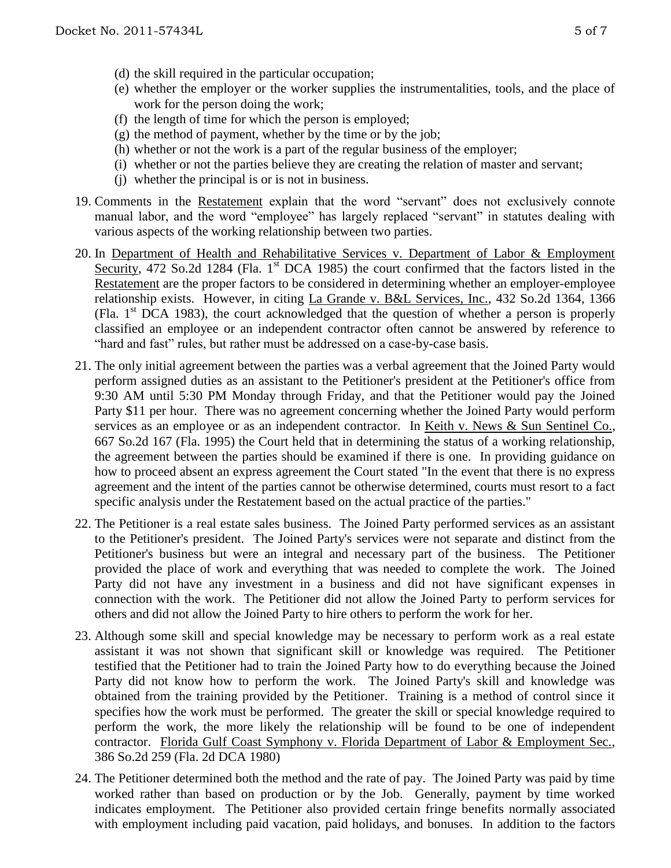- (d) the skill required in the particular occupation;
- (e) whether the employer or the worker supplies the instrumentalities, tools, and the place of work for the person doing the work;
- (f) the length of time for which the person is employed;
- $(g)$  the method of payment, whether by the time or by the job;
- (h) whether or not the work is a part of the regular business of the employer;
- (i) whether or not the parties believe they are creating the relation of master and servant;
- (j) whether the principal is or is not in business.
- 19. Comments in the Restatement explain that the word "servant" does not exclusively connote manual labor, and the word "employee" has largely replaced "servant" in statutes dealing with various aspects of the working relationship between two parties.
- 20. In Department of Health and Rehabilitative Services v. Department of Labor & Employment Security, 472 So.2d 1284 (Fla. 1<sup>st</sup> DCA 1985) the court confirmed that the factors listed in the Restatement are the proper factors to be considered in determining whether an employer-employee relationship exists. However, in citing La Grande v. B&L Services, Inc., 432 So.2d 1364, 1366 (Fla.  $1<sup>st</sup>$  DCA 1983), the court acknowledged that the question of whether a person is properly classified an employee or an independent contractor often cannot be answered by reference to "hard and fast" rules, but rather must be addressed on a case-by-case basis.
- 21. The only initial agreement between the parties was a verbal agreement that the Joined Party would perform assigned duties as an assistant to the Petitioner's president at the Petitioner's office from 9:30 AM until 5:30 PM Monday through Friday, and that the Petitioner would pay the Joined Party \$11 per hour. There was no agreement concerning whether the Joined Party would perform services as an employee or as an independent contractor. In Keith v. News & Sun Sentinel Co., 667 So.2d 167 (Fla. 1995) the Court held that in determining the status of a working relationship, the agreement between the parties should be examined if there is one. In providing guidance on how to proceed absent an express agreement the Court stated "In the event that there is no express agreement and the intent of the parties cannot be otherwise determined, courts must resort to a fact specific analysis under the Restatement based on the actual practice of the parties."
- 22. The Petitioner is a real estate sales business. The Joined Party performed services as an assistant to the Petitioner's president. The Joined Party's services were not separate and distinct from the Petitioner's business but were an integral and necessary part of the business. The Petitioner provided the place of work and everything that was needed to complete the work. The Joined Party did not have any investment in a business and did not have significant expenses in connection with the work. The Petitioner did not allow the Joined Party to perform services for others and did not allow the Joined Party to hire others to perform the work for her.
- 23. Although some skill and special knowledge may be necessary to perform work as a real estate assistant it was not shown that significant skill or knowledge was required. The Petitioner testified that the Petitioner had to train the Joined Party how to do everything because the Joined Party did not know how to perform the work. The Joined Party's skill and knowledge was obtained from the training provided by the Petitioner. Training is a method of control since it specifies how the work must be performed. The greater the skill or special knowledge required to perform the work, the more likely the relationship will be found to be one of independent contractor. Florida Gulf Coast Symphony v. Florida Department of Labor & Employment Sec., 386 So.2d 259 (Fla. 2d DCA 1980)
- 24. The Petitioner determined both the method and the rate of pay. The Joined Party was paid by time worked rather than based on production or by the Job. Generally, payment by time worked indicates employment. The Petitioner also provided certain fringe benefits normally associated with employment including paid vacation, paid holidays, and bonuses. In addition to the factors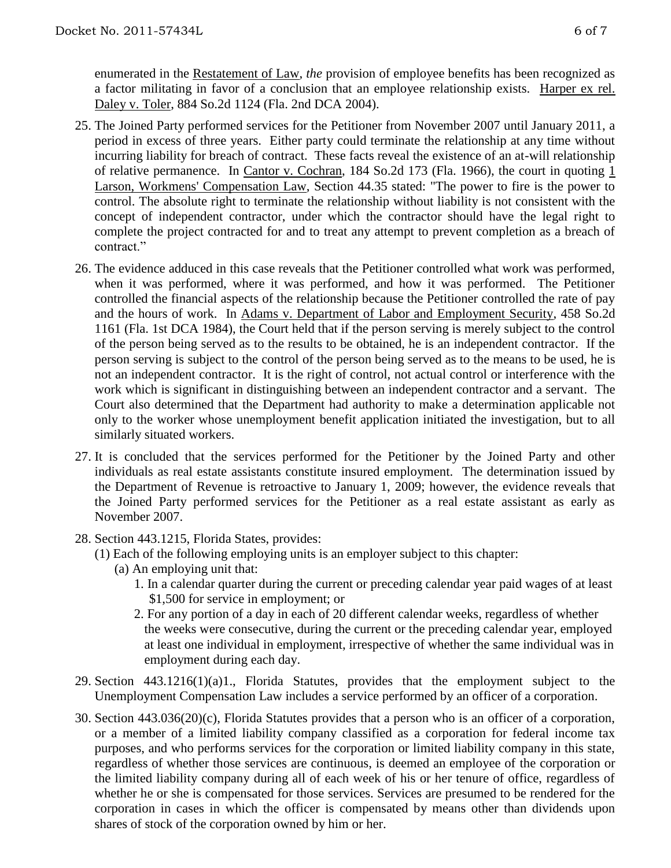enumerated in the Restatement of Law, *the* provision of employee benefits has been recognized as a factor militating in favor of a conclusion that an employee relationship exists. Harper ex rel. Daley v. Toler, 884 So.2d 1124 (Fla. 2nd DCA 2004).

- 25. The Joined Party performed services for the Petitioner from November 2007 until January 2011, a period in excess of three years. Either party could terminate the relationship at any time without incurring liability for breach of contract. These facts reveal the existence of an at-will relationship of relative permanence. In Cantor v. Cochran, 184 So.2d 173 (Fla. 1966), the court in quoting 1 Larson, Workmens' Compensation Law, Section 44.35 stated: "The power to fire is the power to control. The absolute right to terminate the relationship without liability is not consistent with the concept of independent contractor, under which the contractor should have the legal right to complete the project contracted for and to treat any attempt to prevent completion as a breach of contract<sup>"</sup>
- 26. The evidence adduced in this case reveals that the Petitioner controlled what work was performed, when it was performed, where it was performed, and how it was performed. The Petitioner controlled the financial aspects of the relationship because the Petitioner controlled the rate of pay and the hours of work. In Adams v. Department of Labor and Employment Security, 458 So.2d 1161 (Fla. 1st DCA 1984), the Court held that if the person serving is merely subject to the control of the person being served as to the results to be obtained, he is an independent contractor. If the person serving is subject to the control of the person being served as to the means to be used, he is not an independent contractor. It is the right of control, not actual control or interference with the work which is significant in distinguishing between an independent contractor and a servant. The Court also determined that the Department had authority to make a determination applicable not only to the worker whose unemployment benefit application initiated the investigation, but to all similarly situated workers.
- 27. It is concluded that the services performed for the Petitioner by the Joined Party and other individuals as real estate assistants constitute insured employment. The determination issued by the Department of Revenue is retroactive to January 1, 2009; however, the evidence reveals that the Joined Party performed services for the Petitioner as a real estate assistant as early as November 2007.
- 28. Section 443.1215, Florida States, provides:
	- (1) Each of the following employing units is an employer subject to this chapter:
		- (a) An employing unit that:
			- 1. In a calendar quarter during the current or preceding calendar year paid wages of at least \$1,500 for service in employment; or
			- 2. For any portion of a day in each of 20 different calendar weeks, regardless of whether the weeks were consecutive, during the current or the preceding calendar year, employed at least one individual in employment, irrespective of whether the same individual was in employment during each day.
- 29. Section 443.1216(1)(a)1., Florida Statutes, provides that the employment subject to the Unemployment Compensation Law includes a service performed by an officer of a corporation.
- 30. Section 443.036(20)(c), Florida Statutes provides that a person who is an officer of a corporation, or a member of a limited liability company classified as a corporation for federal income tax purposes, and who performs services for the corporation or limited liability company in this state, regardless of whether those services are continuous, is deemed an employee of the corporation or the limited liability company during all of each week of his or her tenure of office, regardless of whether he or she is compensated for those services. Services are presumed to be rendered for the corporation in cases in which the officer is compensated by means other than dividends upon shares of stock of the corporation owned by him or her.